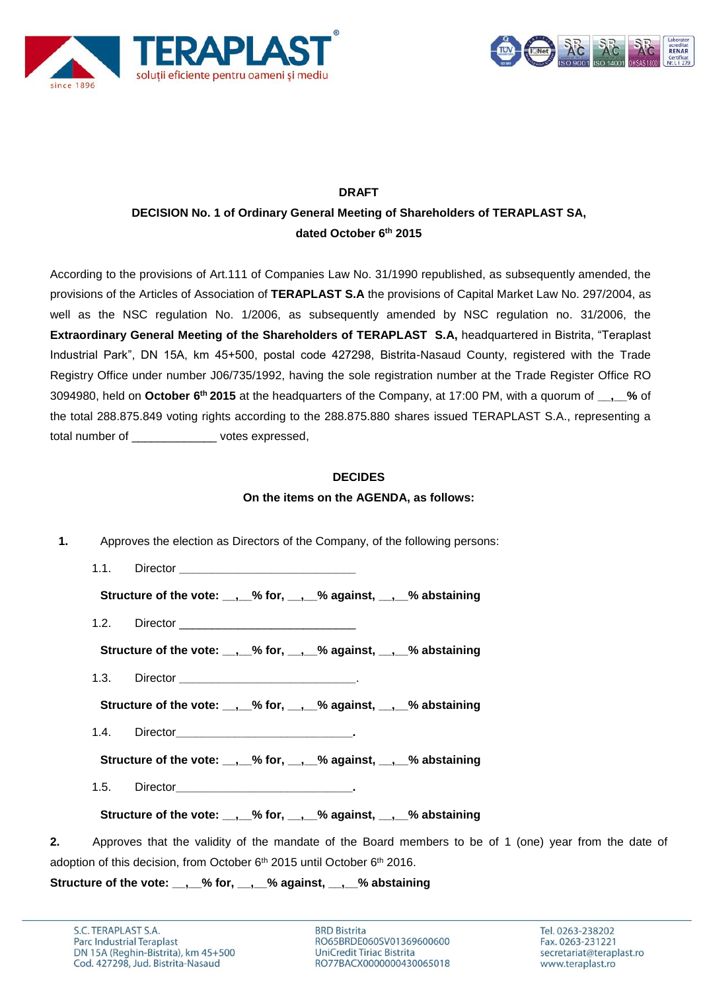



# **DRAFT**

## **DECISION No. 1 of Ordinary General Meeting of Shareholders of TERAPLAST SA, dated October 6 th 2015**

According to the provisions of Art.111 of Companies Law No. 31/1990 republished, as subsequently amended, the provisions of the Articles of Association of **TERAPLAST S.A** the provisions of Capital Market Law No. 297/2004, as well as the NSC regulation No. 1/2006, as subsequently amended by NSC regulation no. 31/2006, the **Extraordinary General Meeting of the Shareholders of TERAPLAST S.A,** headquartered in Bistrita, "Teraplast Industrial Park", DN 15A, km 45+500, postal code 427298, Bistrita-Nasaud County, registered with the Trade Registry Office under number J06/735/1992, having the sole registration number at the Trade Register Office RO 3094980, held on **October 6 th 2015** at the headquarters of the Company, at 17:00 PM, with a quorum of **\_\_,\_\_%** of the total 288.875.849 voting rights according to the 288.875.880 shares issued TERAPLAST S.A., representing a total number of expressed.

#### **DECIDES**

**On the items on the AGENDA, as follows:**

| 1.<br>Approves the election as Directors of the Company, of the following persons:                          |
|-------------------------------------------------------------------------------------------------------------|
| 1.1.                                                                                                        |
| Structure of the vote: __, __% for, __, __% against, __, __% abstaining                                     |
| 1.2.                                                                                                        |
| Structure of the vote: __, __% for, __, __% against, __, __% abstaining                                     |
| 1.3.                                                                                                        |
| Structure of the vote: __, __% for, __, __% against, __, __% abstaining                                     |
| 1.4.                                                                                                        |
| Structure of the vote: __, __% for, __, __% against, __, __% abstaining                                     |
| 1.5.                                                                                                        |
| Structure of the vote: __, __% for, __, __% against, __, __% abstaining                                     |
| Approves that the validity of the mandate of the Board members to be of 1 (one) year from the date of<br>2. |
| adoption of this decision, from October 6 <sup>th</sup> 2015 until October 6 <sup>th</sup> 2016.            |

**Structure of the vote: \_\_,\_\_% for, \_\_,\_\_% against, \_\_,\_\_% abstaining**